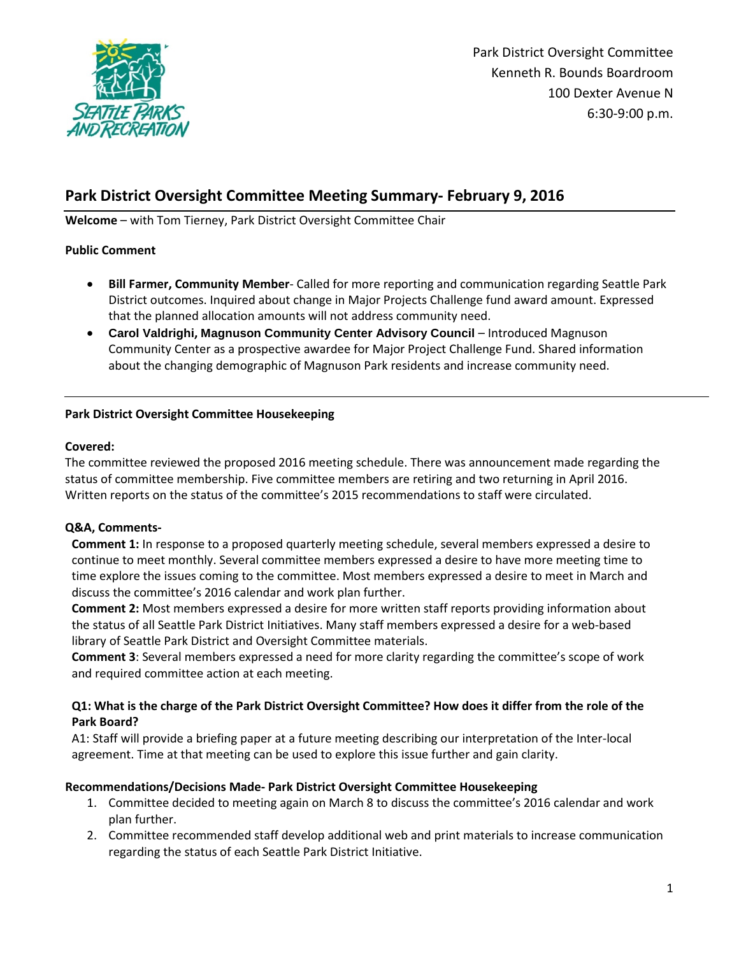

# **Park District Oversight Committee Meeting Summary- February 9, 2016**

**Welcome** – with Tom Tierney, Park District Oversight Committee Chair

### **Public Comment**

- **Bill Farmer, Community Member** Called for more reporting and communication regarding Seattle Park District outcomes. Inquired about change in Major Projects Challenge fund award amount. Expressed that the planned allocation amounts will not address community need.
- **Carol Valdrighi, Magnuson Community Center Advisory Council**  Introduced Magnuson Community Center as a prospective awardee for Major Project Challenge Fund. Shared information about the changing demographic of Magnuson Park residents and increase community need.

### **Park District Oversight Committee Housekeeping**

### **Covered:**

The committee reviewed the proposed 2016 meeting schedule. There was announcement made regarding the status of committee membership. Five committee members are retiring and two returning in April 2016. Written reports on the status of the committee's 2015 recommendations to staff were circulated.

# **Q&A, Comments-**

**Comment 1:** In response to a proposed quarterly meeting schedule, several members expressed a desire to continue to meet monthly. Several committee members expressed a desire to have more meeting time to time explore the issues coming to the committee. Most members expressed a desire to meet in March and discuss the committee's 2016 calendar and work plan further.

**Comment 2:** Most members expressed a desire for more written staff reports providing information about the status of all Seattle Park District Initiatives. Many staff members expressed a desire for a web-based library of Seattle Park District and Oversight Committee materials.

**Comment 3**: Several members expressed a need for more clarity regarding the committee's scope of work and required committee action at each meeting.

# **Q1: What is the charge of the Park District Oversight Committee? How does it differ from the role of the Park Board?**

A1: Staff will provide a briefing paper at a future meeting describing our interpretation of the Inter-local agreement. Time at that meeting can be used to explore this issue further and gain clarity.

# **Recommendations/Decisions Made- Park District Oversight Committee Housekeeping**

- 1. Committee decided to meeting again on March 8 to discuss the committee's 2016 calendar and work plan further.
- 2. Committee recommended staff develop additional web and print materials to increase communication regarding the status of each Seattle Park District Initiative.